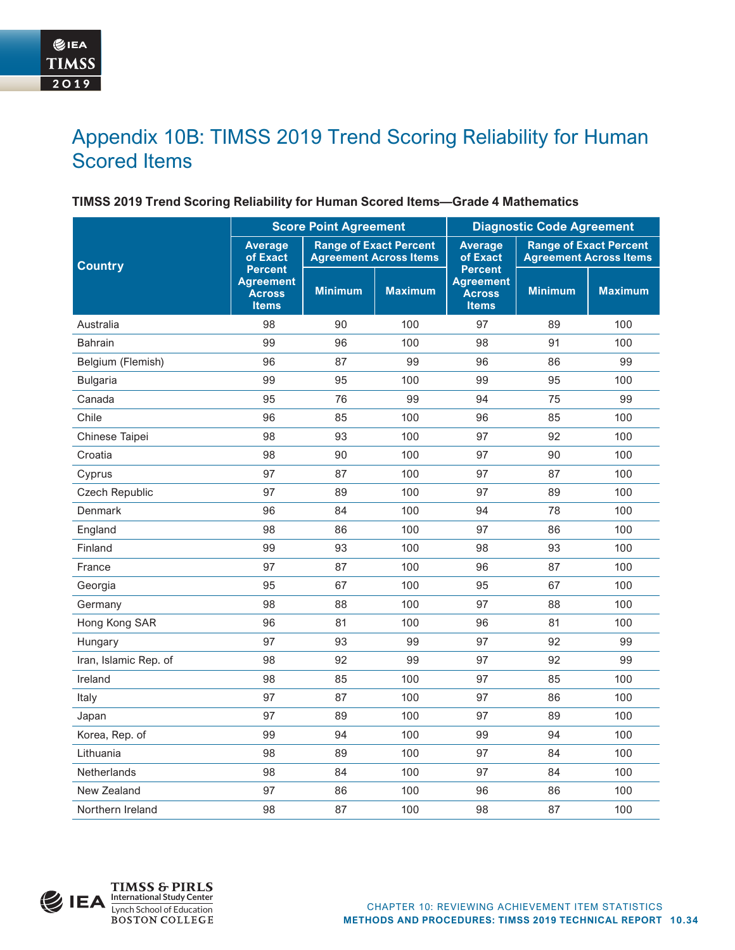# Appendix 10B: TIMSS 2019 Trend Scoring Reliability for Human Scored Items

### **TIMSS 2019 Trend Scoring Reliability for Human Scored Items—Grade 4 Mathematics**

|                       | <b>Score Point Agreement</b>                                        |                                                                |                | <b>Diagnostic Code Agreement</b>                                    |                                                                |                |  |
|-----------------------|---------------------------------------------------------------------|----------------------------------------------------------------|----------------|---------------------------------------------------------------------|----------------------------------------------------------------|----------------|--|
| <b>Country</b>        | <b>Average</b><br>of Exact                                          | <b>Range of Exact Percent</b><br><b>Agreement Across Items</b> |                | <b>Average</b><br>of Exact                                          | <b>Range of Exact Percent</b><br><b>Agreement Across Items</b> |                |  |
|                       | <b>Percent</b><br><b>Agreement</b><br><b>Across</b><br><b>Items</b> | <b>Minimum</b>                                                 | <b>Maximum</b> | <b>Percent</b><br><b>Agreement</b><br><b>Across</b><br><b>Items</b> | <b>Minimum</b>                                                 | <b>Maximum</b> |  |
| Australia             | 98                                                                  | 90                                                             | 100            | 97                                                                  | 89                                                             | 100            |  |
| <b>Bahrain</b>        | 99                                                                  | 96                                                             | 100            | 98                                                                  | 91                                                             | 100            |  |
| Belgium (Flemish)     | 96                                                                  | 87                                                             | 99             | 96                                                                  | 86                                                             | 99             |  |
| <b>Bulgaria</b>       | 99                                                                  | 95                                                             | 100            | 99                                                                  | 95                                                             | 100            |  |
| Canada                | 95                                                                  | 76                                                             | 99             | 94                                                                  | 75                                                             | 99             |  |
| Chile                 | 96                                                                  | 85                                                             | 100            | 96                                                                  | 85                                                             | 100            |  |
| Chinese Taipei        | 98                                                                  | 93                                                             | 100            | 97                                                                  | 92                                                             | 100            |  |
| Croatia               | 98                                                                  | 90                                                             | 100            | 97                                                                  | 90                                                             | 100            |  |
| Cyprus                | 97                                                                  | 87                                                             | 100            | 97                                                                  | 87                                                             | 100            |  |
| <b>Czech Republic</b> | 97                                                                  | 89                                                             | 100            | 97                                                                  | 89                                                             | 100            |  |
| Denmark               | 96                                                                  | 84                                                             | 100            | 94                                                                  | 78                                                             | 100            |  |
| England               | 98                                                                  | 86                                                             | 100            | 97                                                                  | 86                                                             | 100            |  |
| Finland               | 99                                                                  | 93                                                             | 100            | 98                                                                  | 93                                                             | 100            |  |
| France                | 97                                                                  | 87                                                             | 100            | 96                                                                  | 87                                                             | 100            |  |
| Georgia               | 95                                                                  | 67                                                             | 100            | 95                                                                  | 67                                                             | 100            |  |
| Germany               | 98                                                                  | 88                                                             | 100            | 97                                                                  | 88                                                             | 100            |  |
| Hong Kong SAR         | 96                                                                  | 81                                                             | 100            | 96                                                                  | 81                                                             | 100            |  |
| Hungary               | 97                                                                  | 93                                                             | 99             | 97                                                                  | 92                                                             | 99             |  |
| Iran, Islamic Rep. of | 98                                                                  | 92                                                             | 99             | 97                                                                  | 92                                                             | 99             |  |
| Ireland               | 98                                                                  | 85                                                             | 100            | 97                                                                  | 85                                                             | 100            |  |
| Italy                 | 97                                                                  | 87                                                             | 100            | 97                                                                  | 86                                                             | 100            |  |
| Japan                 | 97                                                                  | 89                                                             | 100            | 97                                                                  | 89                                                             | 100            |  |
| Korea, Rep. of        | 99                                                                  | 94                                                             | 100            | 99                                                                  | 94                                                             | 100            |  |
| Lithuania             | 98                                                                  | 89                                                             | 100            | 97                                                                  | 84                                                             | 100            |  |
| <b>Netherlands</b>    | 98                                                                  | 84                                                             | 100            | 97                                                                  | 84                                                             | 100            |  |
| New Zealand           | 97                                                                  | 86                                                             | 100            | 96                                                                  | 86                                                             | 100            |  |
| Northern Ireland      | 98                                                                  | 87                                                             | 100            | 98                                                                  | 87                                                             | 100            |  |

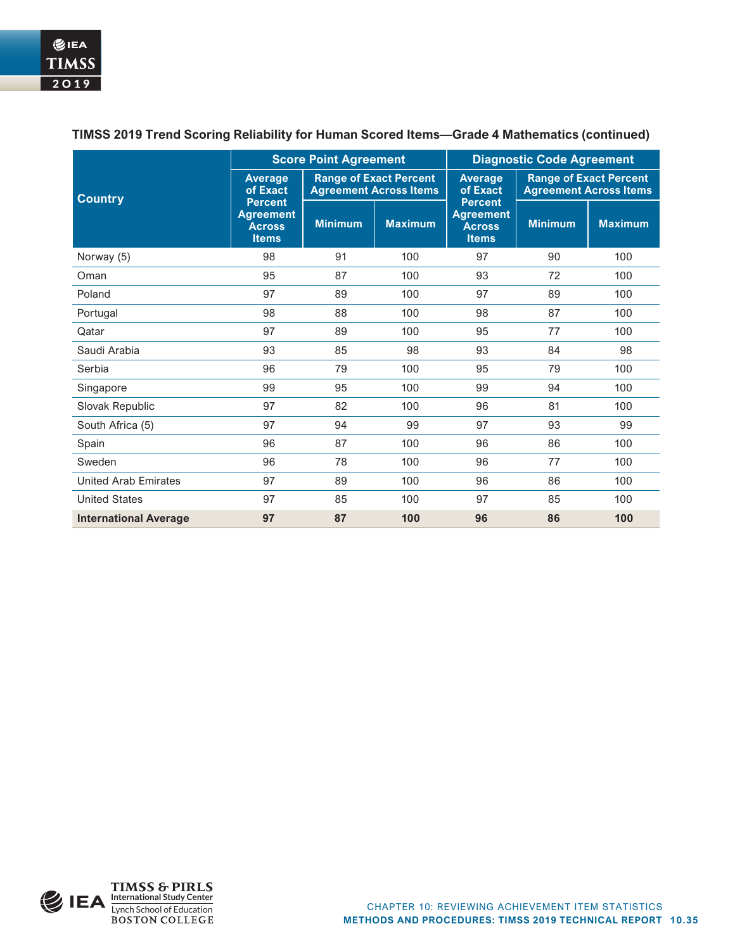|                              | <b>Score Point Agreement</b>                                        |                                                                |                | <b>Diagnostic Code Agreement</b>                                    |                                                                |                |  |
|------------------------------|---------------------------------------------------------------------|----------------------------------------------------------------|----------------|---------------------------------------------------------------------|----------------------------------------------------------------|----------------|--|
| <b>Country</b>               | <b>Average</b><br>of Exact                                          | <b>Range of Exact Percent</b><br><b>Agreement Across Items</b> |                | <b>Average</b><br>of Exact                                          | <b>Range of Exact Percent</b><br><b>Agreement Across Items</b> |                |  |
|                              | <b>Percent</b><br><b>Agreement</b><br><b>Across</b><br><b>Items</b> | <b>Minimum</b>                                                 | <b>Maximum</b> | <b>Percent</b><br><b>Agreement</b><br><b>Across</b><br><b>Items</b> | <b>Minimum</b>                                                 | <b>Maximum</b> |  |
| Norway (5)                   | 98                                                                  | 91                                                             | 100            | 97                                                                  | 90                                                             | 100            |  |
| Oman                         | 95                                                                  | 87                                                             | 100            | 93                                                                  | 72                                                             | 100            |  |
| Poland                       | 97                                                                  | 89                                                             | 100            | 97                                                                  | 89                                                             | 100            |  |
| Portugal                     | 98                                                                  | 88                                                             | 100            | 98                                                                  | 87                                                             | 100            |  |
| Qatar                        | 97                                                                  | 89                                                             | 100            | 95                                                                  | 77                                                             | 100            |  |
| Saudi Arabia                 | 93                                                                  | 85                                                             | 98             | 93                                                                  | 84                                                             | 98             |  |
| Serbia                       | 96                                                                  | 79                                                             | 100            | 95                                                                  | 79                                                             | 100            |  |
| Singapore                    | 99                                                                  | 95                                                             | 100            | 99                                                                  | 94                                                             | 100            |  |
| Slovak Republic              | 97                                                                  | 82                                                             | 100            | 96                                                                  | 81                                                             | 100            |  |
| South Africa (5)             | 97                                                                  | 94                                                             | 99             | 97                                                                  | 93                                                             | 99             |  |
| Spain                        | 96                                                                  | 87                                                             | 100            | 96                                                                  | 86                                                             | 100            |  |
| Sweden                       | 96                                                                  | 78                                                             | 100            | 96                                                                  | 77                                                             | 100            |  |
| <b>United Arab Emirates</b>  | 97                                                                  | 89                                                             | 100            | 96                                                                  | 86                                                             | 100            |  |
| <b>United States</b>         | 97                                                                  | 85                                                             | 100            | 97                                                                  | 85                                                             | 100            |  |
| <b>International Average</b> | 97                                                                  | 87                                                             | 100            | 96                                                                  | 86                                                             | 100            |  |

# **TIMSS 2019 Trend Scoring Reliability for Human Scored Items—Grade 4 Mathematics (continued)**

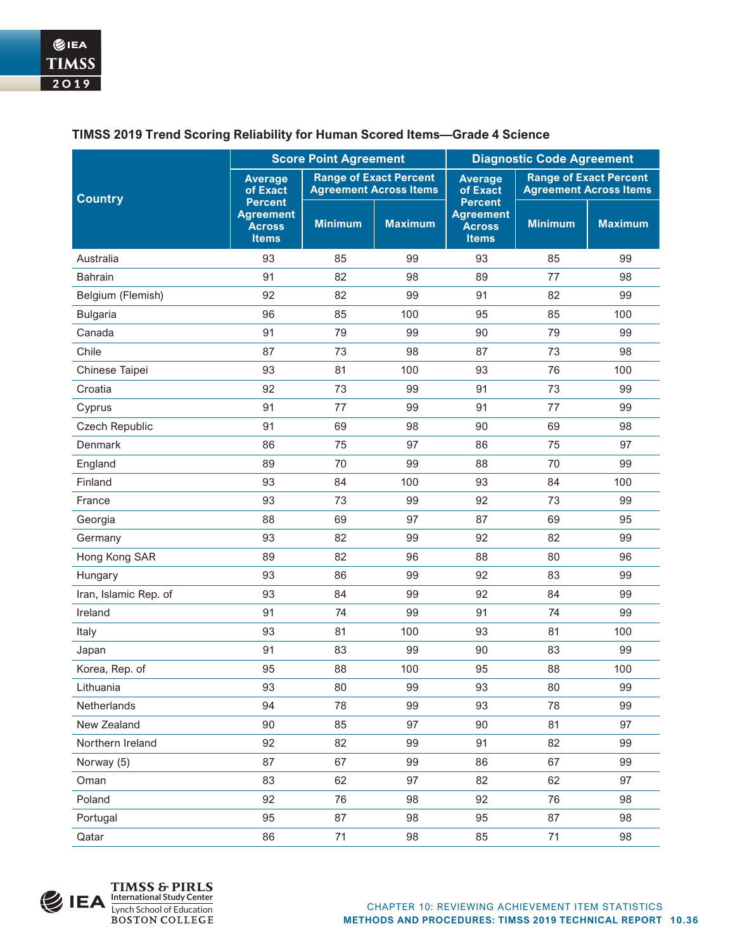|                       | <b>Score Point Agreement</b>                                        |                                                                |                | <b>Diagnostic Code Agreement</b>                                    |                                                                |                |
|-----------------------|---------------------------------------------------------------------|----------------------------------------------------------------|----------------|---------------------------------------------------------------------|----------------------------------------------------------------|----------------|
| <b>Country</b>        | <b>Average</b><br>of Exact                                          | <b>Range of Exact Percent</b><br><b>Agreement Across Items</b> |                | <b>Average</b><br>of Exact                                          | <b>Range of Exact Percent</b><br><b>Agreement Across Items</b> |                |
|                       | <b>Percent</b><br><b>Agreement</b><br><b>Across</b><br><b>Items</b> | <b>Minimum</b>                                                 | <b>Maximum</b> | <b>Percent</b><br><b>Agreement</b><br><b>Across</b><br><b>Items</b> | <b>Minimum</b>                                                 | <b>Maximum</b> |
| Australia             | 93                                                                  | 85                                                             | 99             | 93                                                                  | 85                                                             | 99             |
| <b>Bahrain</b>        | 91                                                                  | 82                                                             | 98             | 89                                                                  | 77                                                             | 98             |
| Belgium (Flemish)     | 92                                                                  | 82                                                             | 99             | 91                                                                  | 82                                                             | 99             |
| <b>Bulgaria</b>       | 96                                                                  | 85                                                             | 100            | 95                                                                  | 85                                                             | 100            |
| Canada                | 91                                                                  | 79                                                             | 99             | 90                                                                  | 79                                                             | 99             |
| Chile                 | 87                                                                  | 73                                                             | 98             | 87                                                                  | 73                                                             | 98             |
| Chinese Taipei        | 93                                                                  | 81                                                             | 100            | 93                                                                  | 76                                                             | 100            |
| Croatia               | 92                                                                  | 73                                                             | 99             | 91                                                                  | 73                                                             | 99             |
| Cyprus                | 91                                                                  | 77                                                             | 99             | 91                                                                  | 77                                                             | 99             |
| <b>Czech Republic</b> | 91                                                                  | 69                                                             | 98             | 90                                                                  | 69                                                             | 98             |
| Denmark               | 86                                                                  | 75                                                             | 97             | 86                                                                  | 75                                                             | 97             |
| England               | 89                                                                  | 70                                                             | 99             | 88                                                                  | 70                                                             | 99             |
| Finland               | 93                                                                  | 84                                                             | 100            | 93                                                                  | 84                                                             | 100            |
| France                | 93                                                                  | 73                                                             | 99             | 92                                                                  | 73                                                             | 99             |
| Georgia               | 88                                                                  | 69                                                             | 97             | 87                                                                  | 69                                                             | 95             |
| Germany               | 93                                                                  | 82                                                             | 99             | 92                                                                  | 82                                                             | 99             |
| Hong Kong SAR         | 89                                                                  | 82                                                             | 96             | 88                                                                  | 80                                                             | 96             |
| Hungary               | 93                                                                  | 86                                                             | 99             | 92                                                                  | 83                                                             | 99             |
| Iran, Islamic Rep. of | 93                                                                  | 84                                                             | 99             | 92                                                                  | 84                                                             | 99             |
| Ireland               | 91                                                                  | 74                                                             | 99             | 91                                                                  | 74                                                             | 99             |
| Italy                 | 93                                                                  | 81                                                             | 100            | 93                                                                  | 81                                                             | 100            |
| Japan                 | 91                                                                  | 83                                                             | 99             | 90                                                                  | 83                                                             | 99             |
| Korea, Rep. of        | 95                                                                  | 88                                                             | 100            | 95                                                                  | 88                                                             | 100            |
| Lithuania             | 93                                                                  | 80                                                             | 99             | 93                                                                  | 80                                                             | 99             |
| Netherlands           | 94                                                                  | 78                                                             | 99             | 93                                                                  | 78                                                             | 99             |
| New Zealand           | 90                                                                  | 85                                                             | 97             | 90                                                                  | 81                                                             | 97             |
| Northern Ireland      | 92                                                                  | 82                                                             | 99             | 91                                                                  | 82                                                             | 99             |
| Norway (5)            | 87                                                                  | 67                                                             | 99             | 86                                                                  | 67                                                             | 99             |
| Oman                  | 83                                                                  | 62                                                             | 97             | 82                                                                  | 62                                                             | 97             |
| Poland                | 92                                                                  | 76                                                             | 98             | 92                                                                  | 76                                                             | 98             |
| Portugal              | 95                                                                  | 87                                                             | 98             | 95                                                                  | 87                                                             | 98             |
| Qatar                 | 86                                                                  | 71                                                             | 98             | 85                                                                  | 71                                                             | 98             |

# **TIMSS 2019 Trend Scoring Reliability for Human Scored Items—Grade 4 Science**

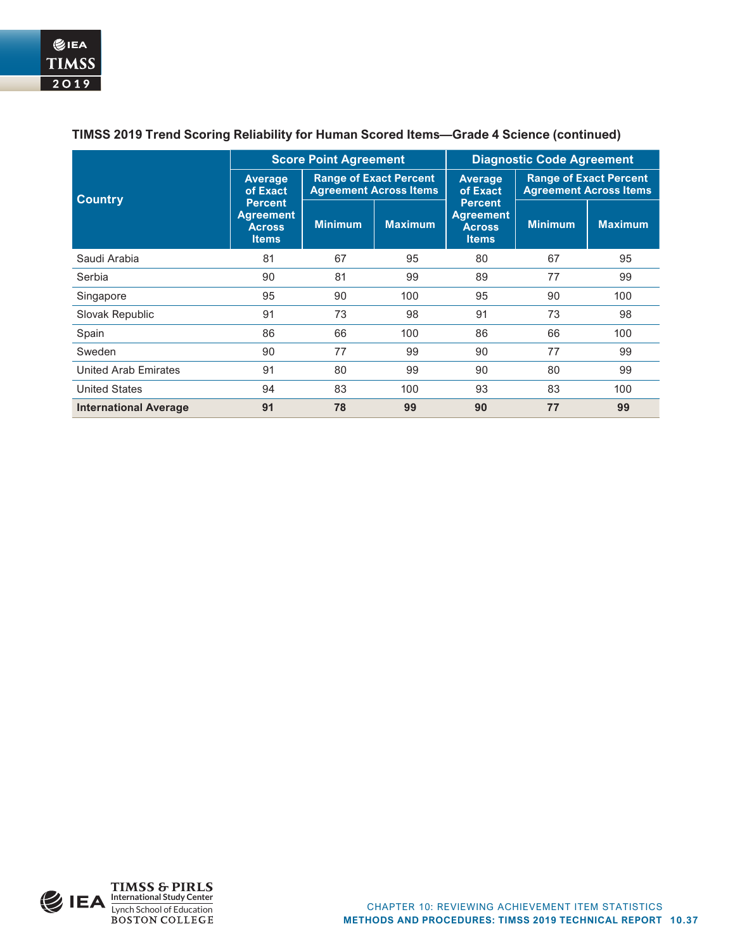|                              |                                                                     | <b>Score Point Agreement</b>                                   |                | <b>Diagnostic Code Agreement</b>                                    |                                                                |                |  |
|------------------------------|---------------------------------------------------------------------|----------------------------------------------------------------|----------------|---------------------------------------------------------------------|----------------------------------------------------------------|----------------|--|
| <b>Country</b>               | <b>Average</b><br>of Exact                                          | <b>Range of Exact Percent</b><br><b>Agreement Across Items</b> |                | <b>Average</b><br>of Exact                                          | <b>Range of Exact Percent</b><br><b>Agreement Across Items</b> |                |  |
|                              | <b>Percent</b><br><b>Agreement</b><br><b>Across</b><br><b>Items</b> | <b>Minimum</b>                                                 | <b>Maximum</b> | <b>Percent</b><br><b>Agreement</b><br><b>Across</b><br><b>Items</b> | <b>Minimum</b>                                                 | <b>Maximum</b> |  |
| Saudi Arabia                 | 81                                                                  | 67                                                             | 95             | 80                                                                  | 67                                                             | 95             |  |
| Serbia                       | 90                                                                  | 81                                                             | 99             | 89                                                                  | 77                                                             | 99             |  |
| Singapore                    | 95                                                                  | 90                                                             | 100            | 95                                                                  | 90                                                             | 100            |  |
| Slovak Republic              | 91                                                                  | 73                                                             | 98             | 91                                                                  | 73                                                             | 98             |  |
| Spain                        | 86                                                                  | 66                                                             | 100            | 86                                                                  | 66                                                             | 100            |  |
| Sweden                       | 90                                                                  | 77                                                             | 99             | 90                                                                  | 77                                                             | 99             |  |
| United Arab Emirates         | 91                                                                  | 80                                                             | 99             | 90                                                                  | 80                                                             | 99             |  |
| <b>United States</b>         | 94                                                                  | 83                                                             | 100            | 93                                                                  | 83                                                             | 100            |  |
| <b>International Average</b> | 91                                                                  | 78                                                             | 99             | 90                                                                  | 77                                                             | 99             |  |

## **TIMSS 2019 Trend Scoring Reliability for Human Scored Items—Grade 4 Science (continued)**

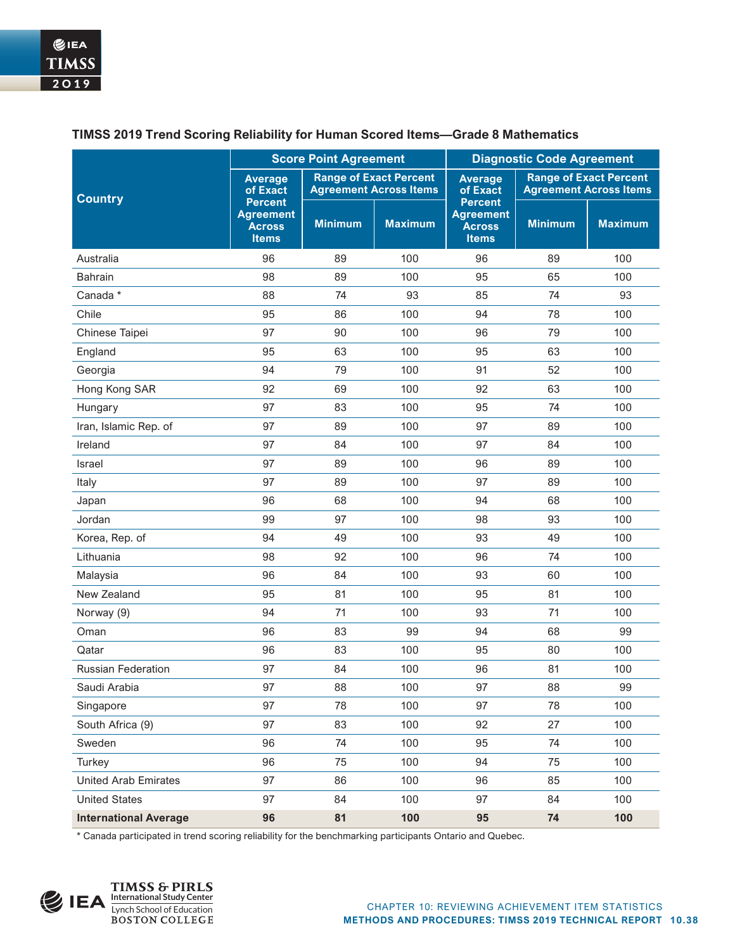|                              | <b>Score Point Agreement</b>                                        |                                                                |                | <b>Diagnostic Code Agreement</b>                                    |                                                                |                |
|------------------------------|---------------------------------------------------------------------|----------------------------------------------------------------|----------------|---------------------------------------------------------------------|----------------------------------------------------------------|----------------|
| <b>Country</b>               | <b>Average</b><br>of Exact                                          | <b>Range of Exact Percent</b><br><b>Agreement Across Items</b> |                | <b>Average</b><br>of Exact                                          | <b>Range of Exact Percent</b><br><b>Agreement Across Items</b> |                |
|                              | <b>Percent</b><br><b>Agreement</b><br><b>Across</b><br><b>Items</b> | <b>Minimum</b>                                                 | <b>Maximum</b> | <b>Percent</b><br><b>Agreement</b><br><b>Across</b><br><b>Items</b> | <b>Minimum</b>                                                 | <b>Maximum</b> |
| Australia                    | 96                                                                  | 89                                                             | 100            | 96                                                                  | 89                                                             | 100            |
| <b>Bahrain</b>               | 98                                                                  | 89                                                             | 100            | 95                                                                  | 65                                                             | 100            |
| Canada *                     | 88                                                                  | 74                                                             | 93             | 85                                                                  | 74                                                             | 93             |
| Chile                        | 95                                                                  | 86                                                             | 100            | 94                                                                  | 78                                                             | 100            |
| Chinese Taipei               | 97                                                                  | 90                                                             | 100            | 96                                                                  | 79                                                             | 100            |
| England                      | 95                                                                  | 63                                                             | 100            | 95                                                                  | 63                                                             | 100            |
| Georgia                      | 94                                                                  | 79                                                             | 100            | 91                                                                  | 52                                                             | 100            |
| Hong Kong SAR                | 92                                                                  | 69                                                             | 100            | 92                                                                  | 63                                                             | 100            |
| Hungary                      | 97                                                                  | 83                                                             | 100            | 95                                                                  | 74                                                             | 100            |
| Iran, Islamic Rep. of        | 97                                                                  | 89                                                             | 100            | 97                                                                  | 89                                                             | 100            |
| Ireland                      | 97                                                                  | 84                                                             | 100            | 97                                                                  | 84                                                             | 100            |
| Israel                       | 97                                                                  | 89                                                             | 100            | 96                                                                  | 89                                                             | 100            |
| Italy                        | 97                                                                  | 89                                                             | 100            | 97                                                                  | 89                                                             | 100            |
| Japan                        | 96                                                                  | 68                                                             | 100            | 94                                                                  | 68                                                             | 100            |
| Jordan                       | 99                                                                  | 97                                                             | 100            | 98                                                                  | 93                                                             | 100            |
| Korea, Rep. of               | 94                                                                  | 49                                                             | 100            | 93                                                                  | 49                                                             | 100            |
| Lithuania                    | 98                                                                  | 92                                                             | 100            | 96                                                                  | 74                                                             | 100            |
| Malaysia                     | 96                                                                  | 84                                                             | 100            | 93                                                                  | 60                                                             | 100            |
| New Zealand                  | 95                                                                  | 81                                                             | 100            | 95                                                                  | 81                                                             | 100            |
| Norway (9)                   | 94                                                                  | 71                                                             | 100            | 93                                                                  | 71                                                             | 100            |
| Oman                         | 96                                                                  | 83                                                             | 99             | 94                                                                  | 68                                                             | 99             |
| Qatar                        | 96                                                                  | 83                                                             | 100            | 95                                                                  | 80                                                             | 100            |
| <b>Russian Federation</b>    | 97                                                                  | 84                                                             | 100            | 96                                                                  | 81                                                             | 100            |
| Saudi Arabia                 | 97                                                                  | 88                                                             | 100            | 97                                                                  | 88                                                             | 99             |
| Singapore                    | 97                                                                  | 78                                                             | 100            | 97                                                                  | 78                                                             | 100            |
| South Africa (9)             | 97                                                                  | 83                                                             | 100            | 92                                                                  | 27                                                             | 100            |
| Sweden                       | 96                                                                  | 74                                                             | 100            | 95                                                                  | 74                                                             | 100            |
| Turkey                       | 96                                                                  | 75                                                             | 100            | 94                                                                  | 75                                                             | 100            |
| <b>United Arab Emirates</b>  | 97                                                                  | 86                                                             | 100            | 96                                                                  | 85                                                             | 100            |
| <b>United States</b>         | 97                                                                  | 84                                                             | 100            | 97                                                                  | 84                                                             | 100            |
| <b>International Average</b> | 96                                                                  | 81                                                             | 100            | 95                                                                  | 74                                                             | 100            |

#### **TIMSS 2019 Trend Scoring Reliability for Human Scored Items—Grade 8 Mathematics**

\* Canada participated in trend scoring reliability for the benchmarking participants Ontario and Quebec.